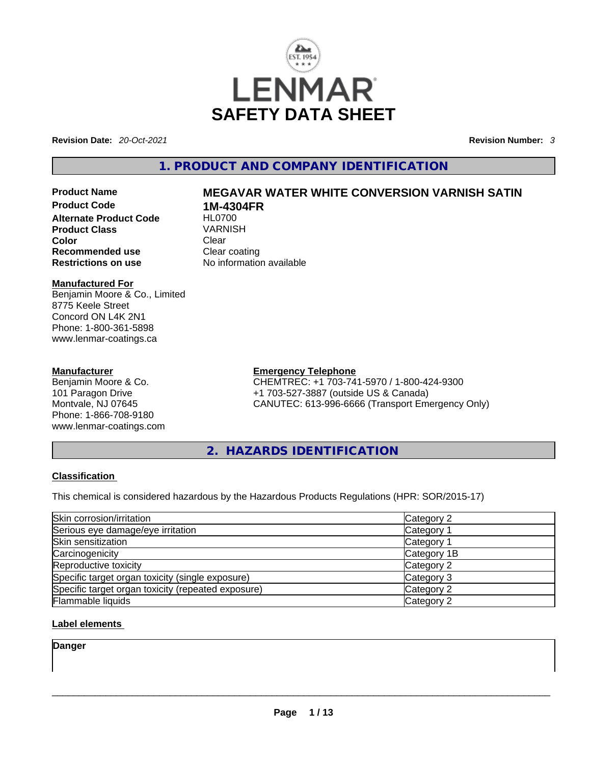

**Revision Date:** *20-Oct-2021* **Revision Number:** *3*

# **1. PRODUCT AND COMPANY IDENTIFICATION**

**Alternate Product Code HL0700**<br>**Product Class** VARNISH **Product Class Color** Clear Clear **Recommended use Clear coating Restrictions on use** No information available

#### **Manufactured For**

Benjamin Moore & Co., Limited 8775 Keele Street Concord ON L4K 2N1 Phone: 1-800-361-5898 www.lenmar-coatings.ca

#### **Manufacturer**

Benjamin Moore & Co. 101 Paragon Drive Montvale, NJ 07645 Phone: 1-866-708-9180 www.lenmar-coatings.com

# **Product Name MEGAVAR WATER WHITE CONVERSION VARNISH SATIN 1M-4304FR**<br>HL0700

**Emergency Telephone**

CHEMTREC: +1 703-741-5970 / 1-800-424-9300 +1 703-527-3887 (outside US & Canada) CANUTEC: 613-996-6666 (Transport Emergency Only)

**2. HAZARDS IDENTIFICATION** 

#### **Classification**

This chemical is considered hazardous by the Hazardous Products Regulations (HPR: SOR/2015-17)

| Skin corrosion/irritation                          | Category 2  |
|----------------------------------------------------|-------------|
| Serious eye damage/eye irritation                  | Category 1  |
| Skin sensitization                                 | Category 1  |
| Carcinogenicity                                    | Category 1B |
| Reproductive toxicity                              | Category 2  |
| Specific target organ toxicity (single exposure)   | Category 3  |
| Specific target organ toxicity (repeated exposure) | Category 2  |
| Flammable liquids                                  | Category 2  |

### **Label elements**

**Danger**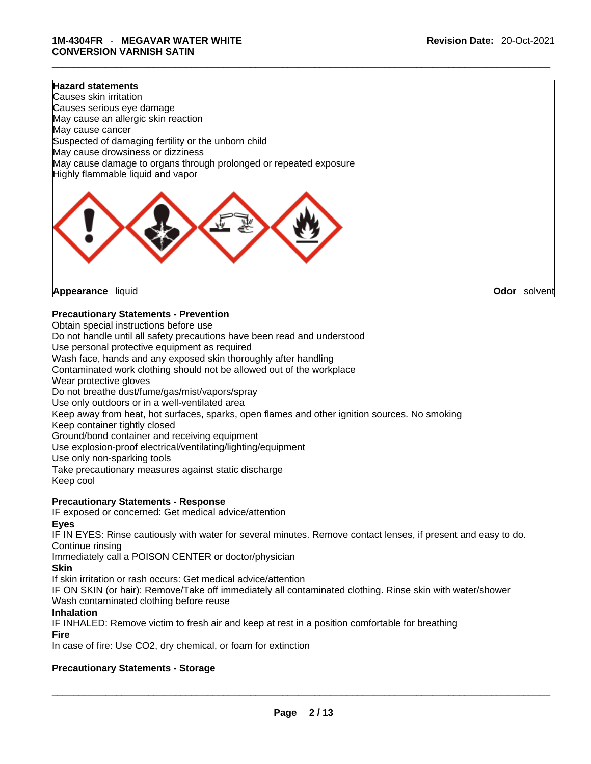#### **Hazard statements**

Causes skin irritation Causes serious eye damage May cause an allergic skin reaction May cause cancer Suspected of damaging fertility or the unborn child May cause drowsiness or dizziness May cause damage to organs through prolonged or repeated exposure Highly flammable liquid and vapor



**Appearance** liquid **Odor** *Solvent* **Appearance Contract Appearance Odor** solvent

### **Precautionary Statements - Prevention**

Obtain special instructions before use

Do not handle until all safety precautions have been read and understood

Use personal protective equipment as required

Wash face, hands and any exposed skin thoroughly after handling

Contaminated work clothing should not be allowed out of the workplace

Wear protective gloves

Do not breathe dust/fume/gas/mist/vapors/spray

Use only outdoors or in a well-ventilated area

Keep away from heat, hot surfaces, sparks, open flames and other ignition sources. No smoking

Keep container tightly closed

Ground/bond container and receiving equipment

Use explosion-proof electrical/ventilating/lighting/equipment

Use only non-sparking tools

Take precautionary measures against static discharge Keep cool

#### **Precautionary Statements - Response**

IF exposed or concerned: Get medical advice/attention

#### **Eyes**

IF IN EYES: Rinse cautiously with water for several minutes. Remove contact lenses, if present and easy to do. Continue rinsing

Immediately call a POISON CENTER or doctor/physician

**Skin**

If skin irritation or rash occurs: Get medical advice/attention

IF ON SKIN (or hair): Remove/Take off immediately all contaminated clothing. Rinse skin with water/shower Wash contaminated clothing before reuse

#### **Inhalation**

IF INHALED: Remove victim to fresh air and keep at rest in a position comfortable for breathing **Fire**

In case of fire: Use CO2, dry chemical, or foam for extinction

### **Precautionary Statements - Storage**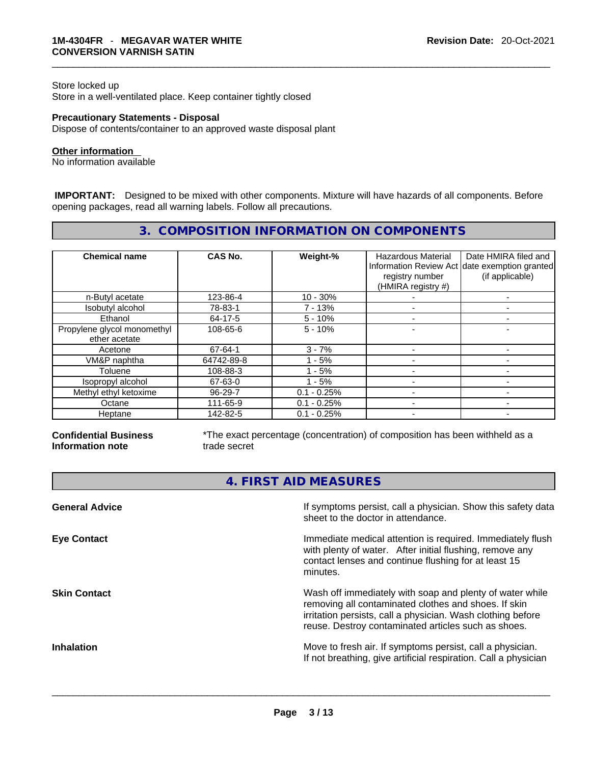#### Store locked up

Store in a well-ventilated place. Keep container tightly closed

#### **Precautionary Statements - Disposal**

Dispose of contents/container to an approved waste disposal plant

#### **Other information**

No information available

 **IMPORTANT:** Designed to be mixed with other components. Mixture will have hazards of all components. Before opening packages, read all warning labels. Follow all precautions.

# **3. COMPOSITION INFORMATION ON COMPONENTS**

| <b>Chemical name</b>                         | CAS No.    | Weight-%      | <b>Hazardous Material</b><br>registry number<br>(HMIRA registry #) | Date HMIRA filed and<br>Information Review Act date exemption granted<br>(if applicable) |
|----------------------------------------------|------------|---------------|--------------------------------------------------------------------|------------------------------------------------------------------------------------------|
| n-Butyl acetate                              | 123-86-4   | $10 - 30%$    |                                                                    |                                                                                          |
| Isobutyl alcohol                             | 78-83-1    | $7 - 13%$     |                                                                    |                                                                                          |
| Ethanol                                      | 64-17-5    | $5 - 10%$     |                                                                    |                                                                                          |
| Propylene glycol monomethyl<br>ether acetate | 108-65-6   | $5 - 10%$     |                                                                    |                                                                                          |
| Acetone                                      | 67-64-1    | $3 - 7%$      |                                                                    |                                                                                          |
| VM&P naphtha                                 | 64742-89-8 | - 5%          |                                                                    |                                                                                          |
| Toluene                                      | 108-88-3   | - 5%          |                                                                    |                                                                                          |
| Isopropyl alcohol                            | 67-63-0    | $1 - 5%$      |                                                                    |                                                                                          |
| Methyl ethyl ketoxime                        | 96-29-7    | $0.1 - 0.25%$ |                                                                    |                                                                                          |
| Octane                                       | 111-65-9   | $0.1 - 0.25%$ |                                                                    |                                                                                          |
| Heptane                                      | 142-82-5   | $0.1 - 0.25%$ |                                                                    |                                                                                          |

#### **Confidential Business Information note**

\*The exact percentage (concentration) of composition has been withheld as a trade secret

**4. FIRST AID MEASURES** 

| <b>General Advice</b> | If symptoms persist, call a physician. Show this safety data<br>sheet to the doctor in attendance.                                                                                                                                     |
|-----------------------|----------------------------------------------------------------------------------------------------------------------------------------------------------------------------------------------------------------------------------------|
| <b>Eye Contact</b>    | Immediate medical attention is required. Immediately flush<br>with plenty of water. After initial flushing, remove any<br>contact lenses and continue flushing for at least 15<br>minutes.                                             |
| <b>Skin Contact</b>   | Wash off immediately with soap and plenty of water while<br>removing all contaminated clothes and shoes. If skin<br>irritation persists, call a physician. Wash clothing before<br>reuse. Destroy contaminated articles such as shoes. |
| <b>Inhalation</b>     | Move to fresh air. If symptoms persist, call a physician.<br>If not breathing, give artificial respiration. Call a physician                                                                                                           |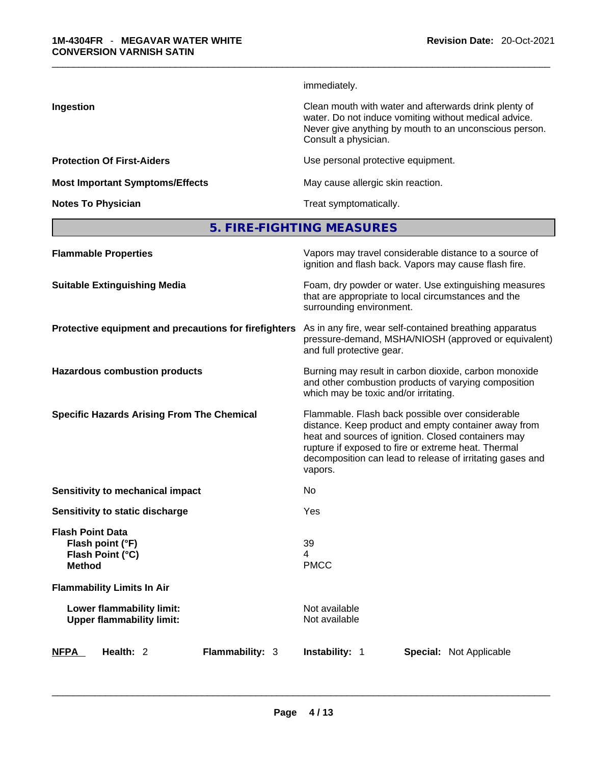immediately.

**Ingestion Ingestion Ingestion Clean mouth with water and afterwards drink plenty of** water. Do not induce vomiting without medical advice. Never give anything by mouth to an unconscious person. Consult a physician.

**Protection Of First-Aiders Exercise 2018** Use personal protective equipment.

**Most Important Symptoms/Effects** May cause allergic skin reaction.

**Notes To Physician Treat symptomatically.** 

# **5. FIRE-FIGHTING MEASURES**

| <b>Flammable Properties</b>                                                      | Vapors may travel considerable distance to a source of<br>ignition and flash back. Vapors may cause flash fire.                                                                                                                                                                                |
|----------------------------------------------------------------------------------|------------------------------------------------------------------------------------------------------------------------------------------------------------------------------------------------------------------------------------------------------------------------------------------------|
| <b>Suitable Extinguishing Media</b>                                              | Foam, dry powder or water. Use extinguishing measures<br>that are appropriate to local circumstances and the<br>surrounding environment.                                                                                                                                                       |
| Protective equipment and precautions for firefighters                            | As in any fire, wear self-contained breathing apparatus<br>pressure-demand, MSHA/NIOSH (approved or equivalent)<br>and full protective gear.                                                                                                                                                   |
| <b>Hazardous combustion products</b>                                             | Burning may result in carbon dioxide, carbon monoxide<br>and other combustion products of varying composition<br>which may be toxic and/or irritating.                                                                                                                                         |
| <b>Specific Hazards Arising From The Chemical</b>                                | Flammable. Flash back possible over considerable<br>distance. Keep product and empty container away from<br>heat and sources of ignition. Closed containers may<br>rupture if exposed to fire or extreme heat. Thermal<br>decomposition can lead to release of irritating gases and<br>vapors. |
| Sensitivity to mechanical impact                                                 | No                                                                                                                                                                                                                                                                                             |
| Sensitivity to static discharge                                                  | Yes                                                                                                                                                                                                                                                                                            |
| <b>Flash Point Data</b><br>Flash point (°F)<br>Flash Point (°C)<br><b>Method</b> | 39<br>4<br><b>PMCC</b>                                                                                                                                                                                                                                                                         |
| <b>Flammability Limits In Air</b>                                                |                                                                                                                                                                                                                                                                                                |
| Lower flammability limit:<br><b>Upper flammability limit:</b>                    | Not available<br>Not available                                                                                                                                                                                                                                                                 |
| Flammability: 3<br><b>NFPA</b><br>Health: 2                                      | <b>Instability: 1</b><br><b>Special: Not Applicable</b>                                                                                                                                                                                                                                        |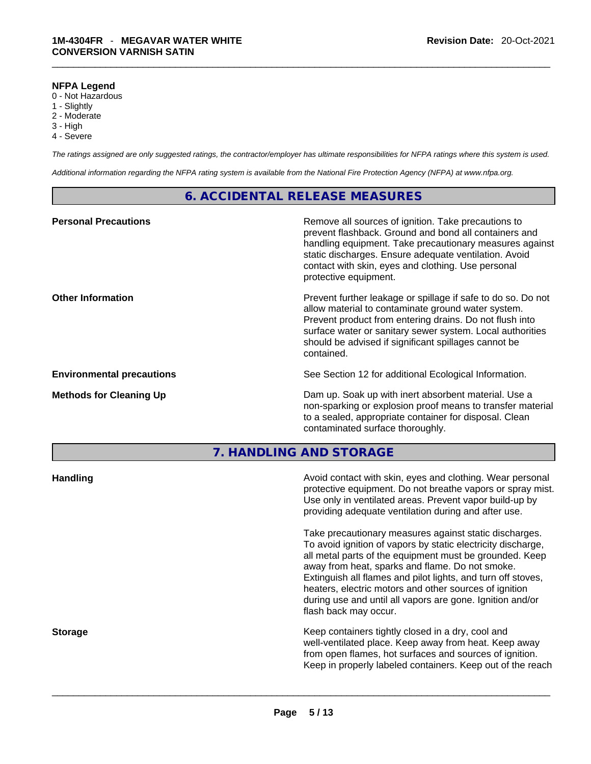#### **NFPA Legend**

- 0 Not Hazardous
- 1 Slightly
- 2 Moderate
- 3 High
- 4 Severe

*The ratings assigned are only suggested ratings, the contractor/employer has ultimate responsibilities for NFPA ratings where this system is used.* 

*Additional information regarding the NFPA rating system is available from the National Fire Protection Agency (NFPA) at www.nfpa.org.* 

# **6. ACCIDENTAL RELEASE MEASURES**

| Remove all sources of ignition. Take precautions to<br>prevent flashback. Ground and bond all containers and<br>handling equipment. Take precautionary measures against<br>static discharges. Ensure adequate ventilation. Avoid<br>contact with skin, eyes and clothing. Use personal<br>protective equipment.  |
|------------------------------------------------------------------------------------------------------------------------------------------------------------------------------------------------------------------------------------------------------------------------------------------------------------------|
| Prevent further leakage or spillage if safe to do so. Do not<br>allow material to contaminate ground water system.<br>Prevent product from entering drains. Do not flush into<br>surface water or sanitary sewer system. Local authorities<br>should be advised if significant spillages cannot be<br>contained. |
| See Section 12 for additional Ecological Information.                                                                                                                                                                                                                                                            |
| Dam up. Soak up with inert absorbent material. Use a<br>non-sparking or explosion proof means to transfer material<br>to a sealed, appropriate container for disposal. Clean<br>contaminated surface thoroughly.                                                                                                 |
|                                                                                                                                                                                                                                                                                                                  |

**7. HANDLING AND STORAGE** 

| <b>Handling</b> | Avoid contact with skin, eyes and clothing. Wear personal<br>protective equipment. Do not breathe vapors or spray mist.<br>Use only in ventilated areas. Prevent vapor build-up by<br>providing adequate ventilation during and after use.                                                                                                                                                                                                           |
|-----------------|------------------------------------------------------------------------------------------------------------------------------------------------------------------------------------------------------------------------------------------------------------------------------------------------------------------------------------------------------------------------------------------------------------------------------------------------------|
|                 | Take precautionary measures against static discharges.<br>To avoid ignition of vapors by static electricity discharge,<br>all metal parts of the equipment must be grounded. Keep<br>away from heat, sparks and flame. Do not smoke.<br>Extinguish all flames and pilot lights, and turn off stoves,<br>heaters, electric motors and other sources of ignition<br>during use and until all vapors are gone. Ignition and/or<br>flash back may occur. |
| <b>Storage</b>  | Keep containers tightly closed in a dry, cool and<br>well-ventilated place. Keep away from heat. Keep away<br>from open flames, hot surfaces and sources of ignition.<br>Keep in properly labeled containers. Keep out of the reach                                                                                                                                                                                                                  |
|                 |                                                                                                                                                                                                                                                                                                                                                                                                                                                      |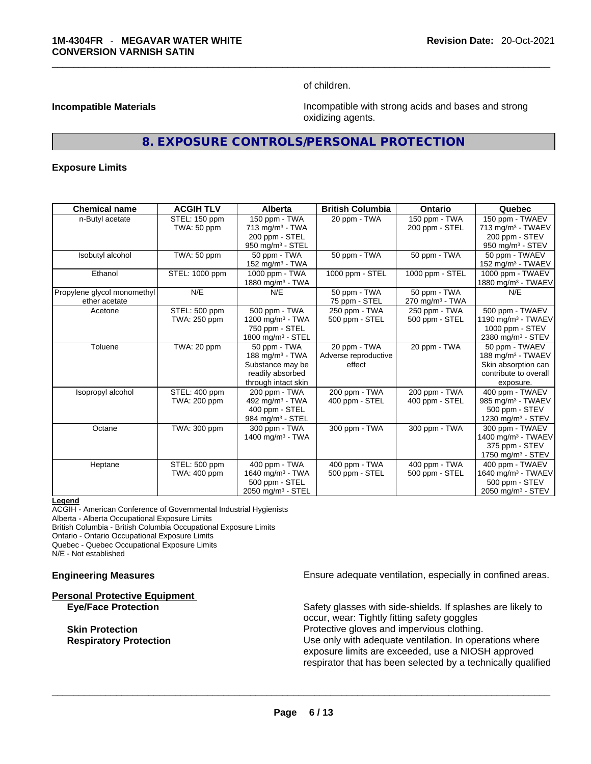of children.

**Incompatible Materials Incompatible with strong acids and bases and strong** oxidizing agents.

# **8. EXPOSURE CONTROLS/PERSONAL PROTECTION**

#### **Exposure Limits**

| <b>Chemical name</b>        | <b>ACGIH TLV</b> | <b>Alberta</b>                | <b>British Columbia</b> | <b>Ontario</b>              | Quebec                         |
|-----------------------------|------------------|-------------------------------|-------------------------|-----------------------------|--------------------------------|
| n-Butyl acetate             | STEL: 150 ppm    | 150 ppm - TWA                 | 20 ppm - TWA            | 150 ppm - TWA               | 150 ppm - TWAEV                |
|                             | TWA: 50 ppm      | 713 mg/m <sup>3</sup> - TWA   |                         | 200 ppm - STEL              | 713 mg/m <sup>3</sup> - TWAEV  |
|                             |                  | 200 ppm - STEL                |                         |                             | 200 ppm - STEV                 |
|                             |                  | 950 mg/m <sup>3</sup> - STEL  |                         |                             | 950 mg/m $3 -$ STEV            |
| Isobutyl alcohol            | TWA: 50 ppm      | 50 ppm - TWA                  | 50 ppm - TWA            | 50 ppm - TWA                | 50 ppm - TWAEV                 |
|                             |                  | 152 mg/m <sup>3</sup> - TWA   |                         |                             | 152 mg/m <sup>3</sup> - TWAEV  |
| Ethanol                     | STEL: 1000 ppm   | 1000 ppm - TWA                | 1000 ppm - STEL         | 1000 ppm - STEL             | 1000 ppm - TWAEV               |
|                             |                  | 1880 mg/m <sup>3</sup> - TWA  |                         |                             | 1880 mg/m <sup>3</sup> - TWAEV |
| Propylene glycol monomethyl | N/E              | N/E                           | 50 ppm - TWA            | 50 ppm - TWA                | N/E                            |
| ether acetate               |                  |                               | 75 ppm - STEL           | 270 mg/m <sup>3</sup> - TWA |                                |
| Acetone                     | STEL: 500 ppm    | 500 ppm - TWA                 | 250 ppm - TWA           | 250 ppm - TWA               | 500 ppm - TWAEV                |
|                             | TWA: 250 ppm     | 1200 mg/m $3$ - TWA           | 500 ppm - STEL          | 500 ppm - STEL              | 1190 mg/m <sup>3</sup> - TWAEV |
|                             |                  | 750 ppm - STEL                |                         |                             | 1000 ppm - STEV                |
|                             |                  | 1800 mg/m <sup>3</sup> - STEL |                         |                             | 2380 mg/m <sup>3</sup> - STEV  |
| Toluene                     | TWA: 20 ppm      | 50 ppm - TWA                  | 20 ppm - TWA            | 20 ppm - TWA                | 50 ppm - TWAEV                 |
|                             |                  | 188 mg/m $3$ - TWA            | Adverse reproductive    |                             | 188 mg/m $3$ - TWAEV           |
|                             |                  | Substance may be              | effect                  |                             | Skin absorption can            |
|                             |                  | readily absorbed              |                         |                             | contribute to overall          |
|                             |                  | through intact skin           |                         |                             | exposure.                      |
| Isopropyl alcohol           | STEL: 400 ppm    | 200 ppm - TWA                 | 200 ppm - TWA           | 200 ppm - TWA               | 400 ppm - TWAEV                |
|                             | TWA: 200 ppm     | 492 mg/m <sup>3</sup> - TWA   | 400 ppm - STEL          | 400 ppm - STEL              | 985 mg/m <sup>3</sup> - TWAEV  |
|                             |                  | 400 ppm - STEL                |                         |                             | 500 ppm - STEV                 |
|                             |                  | 984 mg/m <sup>3</sup> - STEL  |                         |                             | 1230 mg/m <sup>3</sup> - STEV  |
| Octane                      | TWA: 300 ppm     | 300 ppm - TWA                 | 300 ppm - TWA           | 300 ppm - TWA               | 300 ppm - TWAEV                |
|                             |                  | 1400 mg/m $3$ - TWA           |                         |                             | 1400 mg/m <sup>3</sup> - TWAEV |
|                             |                  |                               |                         |                             | 375 ppm - STEV                 |
|                             |                  |                               |                         |                             | 1750 mg/m $3 -$ STEV           |
| Heptane                     | STEL: 500 ppm    | 400 ppm - TWA                 | 400 ppm - TWA           | 400 ppm - TWA               | 400 ppm - TWAEV                |
|                             | TWA: 400 ppm     | 1640 mg/m <sup>3</sup> - TWA  | 500 ppm - STEL          | 500 ppm - STEL              | 1640 mg/m <sup>3</sup> - TWAEV |
|                             |                  | 500 ppm - STEL                |                         |                             | 500 ppm - STEV                 |
|                             |                  | 2050 mg/m $3 -$ STEL          |                         |                             | 2050 mg/m <sup>3</sup> - STEV  |

#### **Legend**

ACGIH - American Conference of Governmental Industrial Hygienists

Alberta - Alberta Occupational Exposure Limits

British Columbia - British Columbia Occupational Exposure Limits

Ontario - Ontario Occupational Exposure Limits Quebec - Quebec Occupational Exposure Limits

N/E - Not established

**Personal Protective Equipment**

**Engineering Measures Ensure 2018** Ensure adequate ventilation, especially in confined areas.

**Eye/Face Protection** Safety glasses with side-shields. If splashes are likely to occur, wear: Tightly fitting safety goggles **Skin Protection Protection Protective gloves and impervious clothing. Respiratory Protection Number 2012** Use only with adequate ventilation. In operations where exposure limits are exceeded, use a NIOSH approved respirator that has been selected by a technically qualified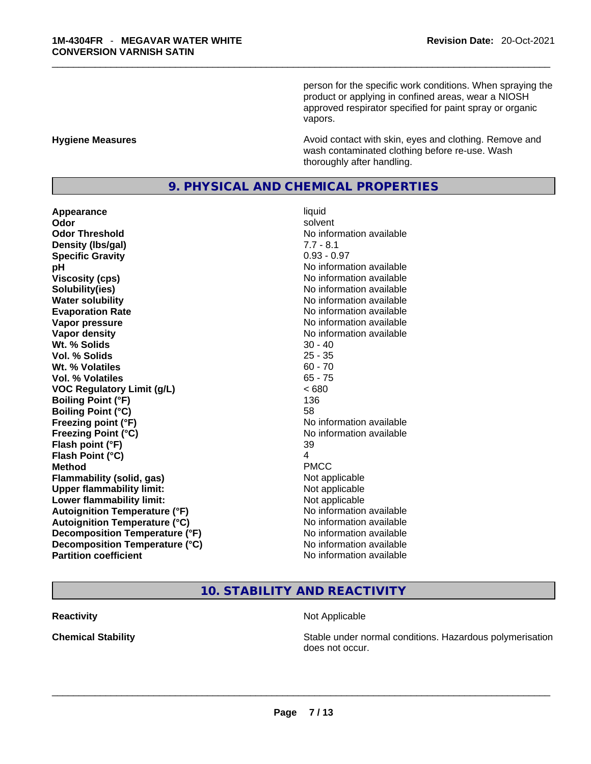person for the specific work conditions. When spraying the product or applying in confined areas, wear a NIOSH approved respirator specified for paint spray or organic vapors.

#### **Hygiene Measures Avoid contact with skin, eyes and clothing. Remove and Avoid contact with skin, eyes and clothing. Remove and Avoid contact with skin, eyes and clothing. Remove and** wash contaminated clothing before re-use. Wash thoroughly after handling.

# **9. PHYSICAL AND CHEMICAL PROPERTIES**

**Appearance** liquid **Odor** solvent **Odor Threshold** No information available **Density (Ibs/gal)** 7.7 - 8.1<br> **Specific Gravity** 6.93 - 0.97 **Specific Gravity pH bH** *pH* **Viscosity (cps) Viscosity (cps) No information available Solubility(ies)** No information available **Water solubility No information available No information available Evaporation Rate Note 2008 No information available Vapor pressure No information available No information available Vapor density**<br> **We Solids**<br>
We Solids
20 - 40 **Wt. % Solids** 30 - 40<br> **Vol. % Solids** 25 - 35 **Vol. % Solids** 25 - 35 **Wt. % Volatiles Vol. % Volatiles** 65 - 75 **VOC Regulatory Limit (g/L)** < 680 **Boiling Point (°F)** 136 **Boiling Point (°C)** 58 **Freezing point (°F)** No information available **Freezing Point (°C)** No information available **Flash point (°F)** 39 **Flash Point (°C)** 4 **Method** PMCC **Flammability (solid, gas)** Not applicable **Upper flammability limit:**<br> **Lower flammability limit:** Not applicable Not applicable **Lower flammability limit:**<br> **Autoignition Temperature (°F)** Not applicable have not available **Autoignition Temperature (°F) Autoignition Temperature (°C)** No information available **Decomposition Temperature (°F)** No information available **Decomposition Temperature (°C)** No information available **Partition coefficient** No information available

# **10. STABILITY AND REACTIVITY**

#### **Reactivity Not Applicable Not Applicable**

**Chemical Stability Stability** Stable under normal conditions. Hazardous polymerisation does not occur. \_\_\_\_\_\_\_\_\_\_\_\_\_\_\_\_\_\_\_\_\_\_\_\_\_\_\_\_\_\_\_\_\_\_\_\_\_\_\_\_\_\_\_\_\_\_\_\_\_\_\_\_\_\_\_\_\_\_\_\_\_\_\_\_\_\_\_\_\_\_\_\_\_\_\_\_\_\_\_\_\_\_\_\_\_\_\_\_\_\_\_\_\_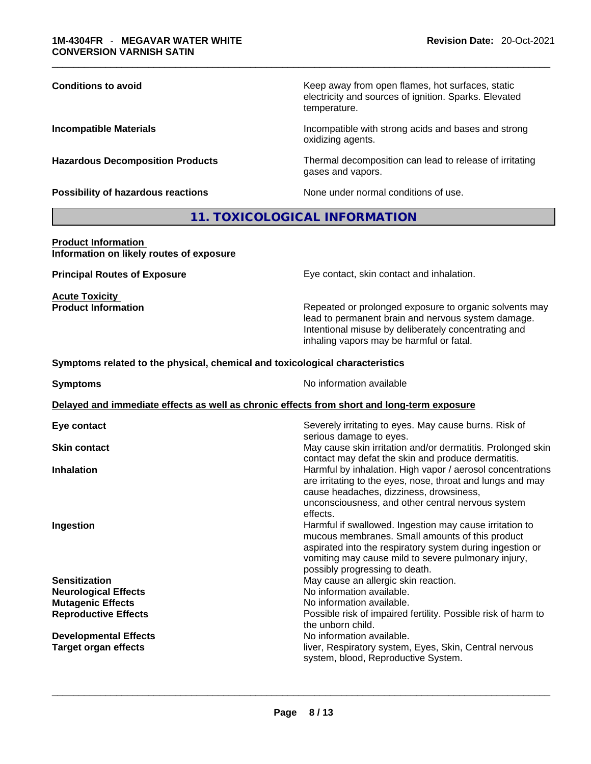| <b>Conditions to avoid</b>                | Keep away from open flames, hot surfaces, static<br>electricity and sources of ignition. Sparks. Elevated<br>temperature. |
|-------------------------------------------|---------------------------------------------------------------------------------------------------------------------------|
| <b>Incompatible Materials</b>             | Incompatible with strong acids and bases and strong<br>oxidizing agents.                                                  |
| <b>Hazardous Decomposition Products</b>   | Thermal decomposition can lead to release of irritating<br>gases and vapors.                                              |
| <b>Possibility of hazardous reactions</b> | None under normal conditions of use.                                                                                      |
|                                           | 11. TOXICOLOGICAL INFORMATION                                                                                             |
| <b>Product Information</b>                |                                                                                                                           |

# **Information on likely routes of exposure**

**Acute Toxicity<br>Product Information** 

**Principal Routes of Exposure Exposure** Eye contact, skin contact and inhalation.

Repeated or prolonged exposure to organic solvents may lead to permanent brain and nervous system damage. Intentional misuse by deliberately concentrating and inhaling vapors may be harmful or fatal.

#### **Symptoms related to the physical,chemical and toxicological characteristics**

| <b>Symptoms</b>                                                                            | No information available                                                                                                                                                                                                                                         |  |  |  |  |
|--------------------------------------------------------------------------------------------|------------------------------------------------------------------------------------------------------------------------------------------------------------------------------------------------------------------------------------------------------------------|--|--|--|--|
| Delayed and immediate effects as well as chronic effects from short and long-term exposure |                                                                                                                                                                                                                                                                  |  |  |  |  |
| Eye contact                                                                                | Severely irritating to eyes. May cause burns. Risk of<br>serious damage to eyes.                                                                                                                                                                                 |  |  |  |  |
| <b>Skin contact</b>                                                                        | May cause skin irritation and/or dermatitis. Prolonged skin<br>contact may defat the skin and produce dermatitis.                                                                                                                                                |  |  |  |  |
| <b>Inhalation</b>                                                                          | Harmful by inhalation. High vapor / aerosol concentrations<br>are irritating to the eyes, nose, throat and lungs and may<br>cause headaches, dizziness, drowsiness,<br>unconsciousness, and other central nervous system<br>effects.                             |  |  |  |  |
| Ingestion                                                                                  | Harmful if swallowed. Ingestion may cause irritation to<br>mucous membranes. Small amounts of this product<br>aspirated into the respiratory system during ingestion or<br>vomiting may cause mild to severe pulmonary injury,<br>possibly progressing to death. |  |  |  |  |
| <b>Sensitization</b>                                                                       | May cause an allergic skin reaction.                                                                                                                                                                                                                             |  |  |  |  |
| <b>Neurological Effects</b>                                                                | No information available.                                                                                                                                                                                                                                        |  |  |  |  |
| <b>Mutagenic Effects</b>                                                                   | No information available.                                                                                                                                                                                                                                        |  |  |  |  |
| <b>Reproductive Effects</b>                                                                | Possible risk of impaired fertility. Possible risk of harm to<br>the unborn child.                                                                                                                                                                               |  |  |  |  |
| <b>Developmental Effects</b>                                                               | No information available.                                                                                                                                                                                                                                        |  |  |  |  |
| <b>Target organ effects</b>                                                                | liver, Respiratory system, Eyes, Skin, Central nervous<br>system, blood, Reproductive System.                                                                                                                                                                    |  |  |  |  |
|                                                                                            |                                                                                                                                                                                                                                                                  |  |  |  |  |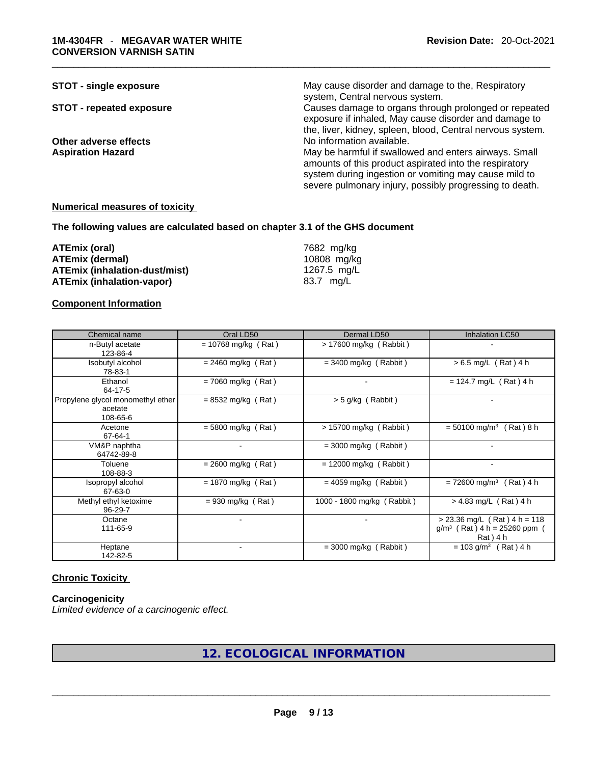| <b>STOT - single exposure</b>   | May cause disorder and damage to the, Respiratory          |
|---------------------------------|------------------------------------------------------------|
|                                 | system, Central nervous system.                            |
| <b>STOT - repeated exposure</b> | Causes damage to organs through prolonged or repeated      |
|                                 | exposure if inhaled, May cause disorder and damage to      |
|                                 | the, liver, kidney, spleen, blood, Central nervous system. |
| Other adverse effects           | No information available.                                  |
| <b>Aspiration Hazard</b>        | May be harmful if swallowed and enters airways. Small      |
|                                 | amounts of this product aspirated into the respiratory     |
|                                 | system during ingestion or vomiting may cause mild to      |
|                                 | severe pulmonary injury, possibly progressing to death.    |

#### **Numerical measures of toxicity**

#### **The following values are calculated based on chapter 3.1 of the GHS document**

| ATEmix (oral)                 | 7682 mg/kg  |
|-------------------------------|-------------|
| ATEmix (dermal)               | 10808 mg/kg |
| ATEmix (inhalation-dust/mist) | 1267.5 mg/L |
| ATEmix (inhalation-vapor)     | 83.7 mg/L   |

#### **Component Information**

| Chemical name                                            | Oral LD50             | Dermal LD50                | Inhalation LC50                                                              |
|----------------------------------------------------------|-----------------------|----------------------------|------------------------------------------------------------------------------|
| n-Butyl acetate<br>123-86-4                              | $= 10768$ mg/kg (Rat) | $> 17600$ mg/kg (Rabbit)   |                                                                              |
| Isobutyl alcohol<br>78-83-1                              | $= 2460$ mg/kg (Rat)  | $= 3400$ mg/kg (Rabbit)    | $> 6.5$ mg/L (Rat) 4 h                                                       |
| Ethanol<br>64-17-5                                       | $= 7060$ mg/kg (Rat)  | $\blacksquare$             | $= 124.7$ mg/L (Rat) 4 h                                                     |
| Propylene glycol monomethyl ether<br>acetate<br>108-65-6 | $= 8532$ mg/kg (Rat)  | > 5 g/kg (Rabbit)          |                                                                              |
| Acetone<br>67-64-1                                       | $= 5800$ mg/kg (Rat)  | > 15700 mg/kg (Rabbit)     | $= 50100$ mg/m <sup>3</sup> (Rat) 8 h                                        |
| VM&P naphtha<br>64742-89-8                               |                       | $=$ 3000 mg/kg (Rabbit)    |                                                                              |
| Toluene<br>108-88-3                                      | $= 2600$ mg/kg (Rat)  | $= 12000$ mg/kg (Rabbit)   |                                                                              |
| Isopropyl alcohol<br>67-63-0                             | $= 1870$ mg/kg (Rat)  | $= 4059$ mg/kg (Rabbit)    | $= 72600$ mg/m <sup>3</sup> (Rat) 4 h                                        |
| Methyl ethyl ketoxime<br>96-29-7                         | $= 930$ mg/kg (Rat)   | 1000 - 1800 mg/kg (Rabbit) | $> 4.83$ mg/L (Rat) 4 h                                                      |
| Octane<br>111-65-9                                       |                       |                            | $>$ 23.36 mg/L (Rat) 4 h = 118<br>$g/m^3$ (Rat) 4 h = 25260 ppm<br>Rat ) 4 h |
| Heptane<br>142-82-5                                      |                       | $=$ 3000 mg/kg (Rabbit)    | $= 103$ g/m <sup>3</sup> (Rat) 4 h                                           |

#### **Chronic Toxicity**

#### **Carcinogenicity**

*Limited evidence of a carcinogenic effect.* 

**12. ECOLOGICAL INFORMATION**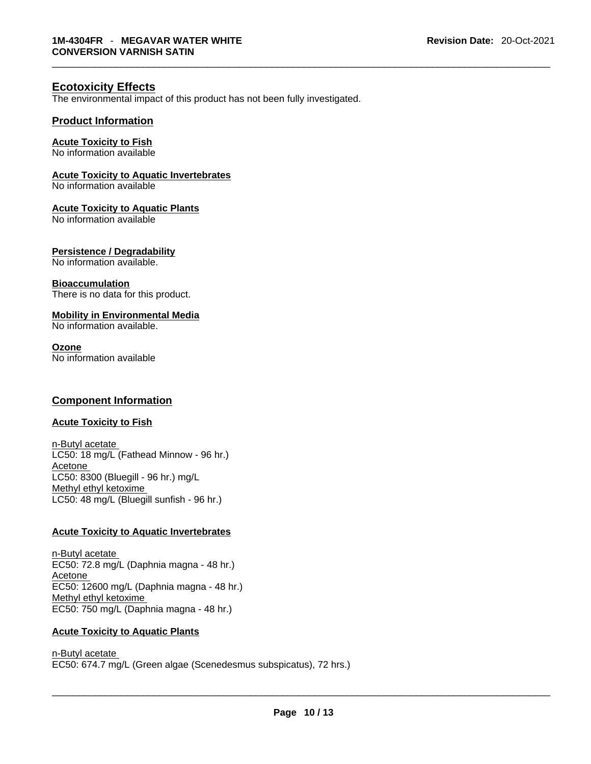#### **Ecotoxicity Effects**

The environmental impact of this product has not been fully investigated.

#### **Product Information**

# **Acute Toxicity to Fish**

No information available

#### **Acute Toxicity to Aquatic Invertebrates**

No information available

#### **Acute Toxicity to Aquatic Plants**

No information available

#### **Persistence / Degradability**

No information available.

#### **Bioaccumulation**

There is no data for this product.

# **Mobility in Environmental Media**

No information available.

#### **Ozone**

No information available

### **Component Information**

#### **Acute Toxicity to Fish**

n-Butyl acetate LC50: 18 mg/L (Fathead Minnow - 96 hr.) Acetone LC50: 8300 (Bluegill - 96 hr.) mg/L Methyl ethyl ketoxime LC50: 48 mg/L (Bluegill sunfish - 96 hr.)

#### **Acute Toxicity to Aquatic Invertebrates**

n-Butyl acetate EC50: 72.8 mg/L (Daphnia magna - 48 hr.) Acetone EC50: 12600 mg/L (Daphnia magna - 48 hr.) Methyl ethyl ketoxime EC50: 750 mg/L (Daphnia magna - 48 hr.)

#### **Acute Toxicity to Aquatic Plants**

n-Butyl acetate \_\_\_\_\_\_\_\_\_\_\_\_\_\_\_\_\_\_\_\_\_\_\_\_\_\_\_\_\_\_\_\_\_\_\_\_\_\_\_\_\_\_\_\_\_\_\_\_\_\_\_\_\_\_\_\_\_\_\_\_\_\_\_\_\_\_\_\_\_\_\_\_\_\_\_\_\_\_\_\_\_\_\_\_\_\_\_\_\_\_\_\_\_ EC50: 674.7 mg/L (Green algae (Scenedesmus subspicatus), 72 hrs.)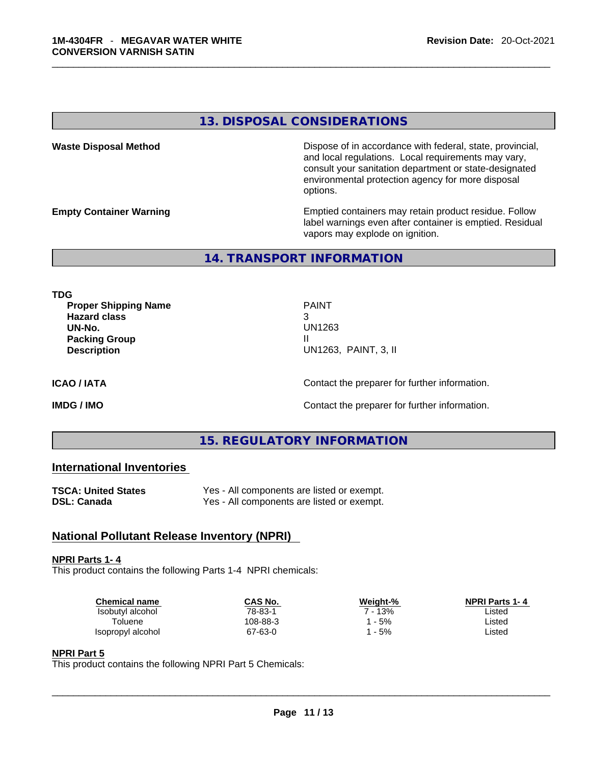# **13. DISPOSAL CONSIDERATIONS**

**Waste Disposal Method** Dispose of in accordance with federal, state, provincial, and local regulations. Local requirements may vary, consult your sanitation department or state-designated environmental protection agency for more disposal options.

**Empty Container Warning <b>Emptied** Containers may retain product residue. Follow label warnings even after container is emptied. Residual vapors may explode on ignition.

#### **14. TRANSPORT INFORMATION**

**TDG** 

**Proper Shipping Name PAINT Hazard class** 3 **UN-No.** UN1263 **Packing Group III Description** UN1263, PAINT, 3, II

**ICAO / IATA ICAO / IATA Contact the preparer for further information.** 

**IMDG / IMO IMO Contact the preparer for further information.** 

# **15. REGULATORY INFORMATION**

# **International Inventories**

| TSCA: United States | Yes - All components are listed or exempt. |
|---------------------|--------------------------------------------|
| DSL: Canada         | Yes - All components are listed or exempt. |

# **National Pollutant Release Inventory (NPRI)**

#### **NPRI Parts 1- 4**

This product contains the following Parts 1-4 NPRI chemicals:

| <b>Chemical name</b> | CAS No.  | Weiaht-% | <b>NPRI Parts 1-4</b> |  |
|----------------------|----------|----------|-----------------------|--|
| Isobutyl alcohol     | 78-83-1  | 13%      | _isted                |  |
| Toluene              | 108-88-3 | 5%       | Listed                |  |
| Isopropyl alcohol    | 67-63-0  | 5%       | _isted                |  |
|                      |          |          |                       |  |

#### **NPRI Part 5**

This product contains the following NPRI Part 5 Chemicals: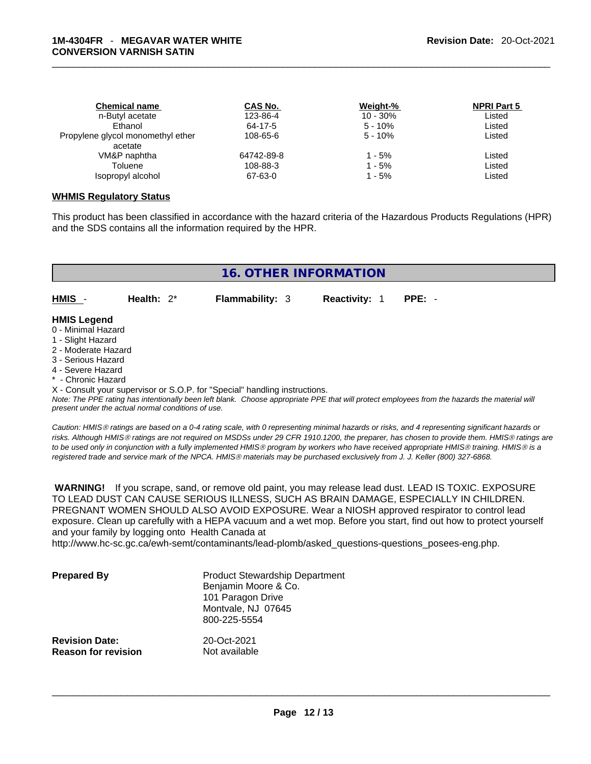| <b>Chemical name</b>              | CAS No.    | Weight-%    | <b>NPRI Part 5</b> |  |
|-----------------------------------|------------|-------------|--------------------|--|
| n-Butyl acetate                   | 123-86-4   | $10 - 30\%$ | Listed             |  |
| Ethanol                           | 64-17-5    | $5 - 10%$   | Listed             |  |
| Propylene glycol monomethyl ether | 108-65-6   | $5 - 10%$   | Listed             |  |
| acetate                           |            |             |                    |  |
| VM&P naphtha                      | 64742-89-8 | 1 - 5%      | Listed             |  |
| Toluene                           | 108-88-3   | $1 - 5%$    | Listed             |  |
| Isopropyl alcohol                 | 67-63-0    | 1 - 5%      | Listed             |  |
|                                   |            |             |                    |  |

#### **WHMIS Regulatory Status**

This product has been classified in accordance with the hazard criteria of the Hazardous Products Regulations (HPR) and the SDS contains all the information required by the HPR.

|                     |               | 16. OTHER INFORMATION                                                      |                      |                                                                                                                                               |
|---------------------|---------------|----------------------------------------------------------------------------|----------------------|-----------------------------------------------------------------------------------------------------------------------------------------------|
| HMIS                | Health: $2^*$ | <b>Flammability: 3</b>                                                     | <b>Reactivity: 1</b> | $PPE: -$                                                                                                                                      |
| <b>HMIS Legend</b>  |               |                                                                            |                      |                                                                                                                                               |
| 0 - Minimal Hazard  |               |                                                                            |                      |                                                                                                                                               |
| 1 - Slight Hazard   |               |                                                                            |                      |                                                                                                                                               |
| 2 - Moderate Hazard |               |                                                                            |                      |                                                                                                                                               |
| 3 - Serious Hazard  |               |                                                                            |                      |                                                                                                                                               |
| 4 - Severe Hazard   |               |                                                                            |                      |                                                                                                                                               |
| * - Chronic Hazard  |               |                                                                            |                      |                                                                                                                                               |
|                     |               | X - Consult your supervisor or S.O.P. for "Special" handling instructions. |                      |                                                                                                                                               |
|                     |               |                                                                            |                      | Note: The PPF rating has intentionally been left blank. Choose appropriate PPF that will protect employees from the hazards the material will |

*Note: The PPE rating has intentionally been left blank. Choose appropriate PPE that will protect employees from the hazards the material will present under the actual normal conditions of use.* 

*Caution: HMISÒ ratings are based on a 0-4 rating scale, with 0 representing minimal hazards or risks, and 4 representing significant hazards or risks. Although HMISÒ ratings are not required on MSDSs under 29 CFR 1910.1200, the preparer, has chosen to provide them. HMISÒ ratings are to be used only in conjunction with a fully implemented HMISÒ program by workers who have received appropriate HMISÒ training. HMISÒ is a registered trade and service mark of the NPCA. HMISÒ materials may be purchased exclusively from J. J. Keller (800) 327-6868.* 

 **WARNING!** If you scrape, sand, or remove old paint, you may release lead dust. LEAD IS TOXIC. EXPOSURE TO LEAD DUST CAN CAUSE SERIOUS ILLNESS, SUCH AS BRAIN DAMAGE, ESPECIALLY IN CHILDREN. PREGNANT WOMEN SHOULD ALSO AVOID EXPOSURE.Wear a NIOSH approved respirator to control lead exposure. Clean up carefully with a HEPA vacuum and a wet mop. Before you start, find out how to protect yourself and your family by logging onto Health Canada at

http://www.hc-sc.gc.ca/ewh-semt/contaminants/lead-plomb/asked\_questions-questions\_posees-eng.php.

| <b>Prepared By</b>                                  | <b>Product Stewardship Department</b><br>Benjamin Moore & Co.<br>101 Paragon Drive<br>Montvale, NJ 07645<br>800-225-5554 |  |
|-----------------------------------------------------|--------------------------------------------------------------------------------------------------------------------------|--|
| <b>Revision Date:</b><br><b>Reason for revision</b> | 20-Oct-2021<br>Not available                                                                                             |  |